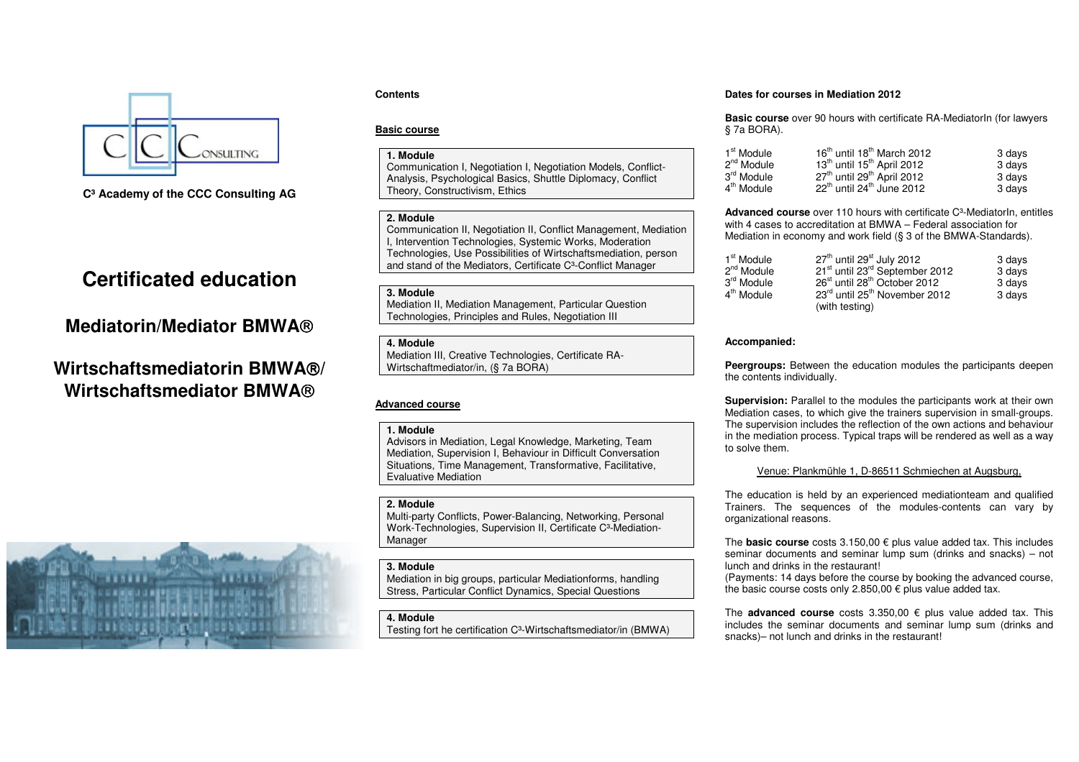

**C³ Academy of the CCC Consulting AG** 

# **Certificated education**

# **Mediatorin/Mediator BMWA**

# **Wirtschaftsmediatorin BMWA/ Wirtschaftsmediator BMWA**



# **Contents**

# **Basic course**

# **1. Module**

 Communication I, Negotiation I, Negotiation Models, Conflict-Analysis, Psychological Basics, Shuttle Diplomacy, Conflict Theory, Constructivism, Ethics

#### **2. Module**

 Communication II, Negotiation II, Conflict Management, Mediation I, Intervention Technologies, Systemic Works, Moderation Technologies, Use Possibilities of Wirtschaftsmediation, person and stand of the Mediators, Certificate C<sup>3</sup>-Conflict Manager

#### **3. Module**

 Mediation II, Mediation Management, Particular Question Technologies, Principles and Rules, Negotiation III

#### **4. Module**

 Mediation III, Creative Technologies, Certificate RA-Wirtschaftmediator/in, (§ 7a BORA)

## **Advanced course**

#### **1. Module**

 Advisors in Mediation, Legal Knowledge, Marketing, Team Mediation, Supervision I, Behaviour in Difficult Conversation Situations, Time Management, Transformative, Facilitative, Evaluative Mediation

# **2. Module**

 Multi-party Conflicts, Power-Balancing, Networking, Personal Work-Technologies, Supervision II, Certificate C³-Mediation-Manager

# **3. Module**

 Mediation in big groups, particular Mediationforms, handling Stress, Particular Conflict Dynamics, Special Questions

# **4. Module**

Testing fort he certification C<sup>3</sup>-Wirtschaftsmediator/in (BMWA)

### **Dates for courses in Mediation 2012**

**Basic course** over 90 hours with certificate RA-MediatorIn (for lawyers § 7a BORA).

| 1 <sup>st</sup> Module | 16 <sup>th</sup> until 18 <sup>th</sup> March 2012 | 3 days |
|------------------------|----------------------------------------------------|--------|
| 2 <sup>nd</sup> Module | 13 <sup>th</sup> until 15 <sup>th</sup> April 2012 | 3 days |
| 3 <sup>rd</sup> Module | 27 <sup>th</sup> until 29 <sup>th</sup> April 2012 | 3 days |
| 4 <sup>th</sup> Module | $22th$ until $24th$ June 2012                      | 3 days |

**Advanced course** over 110 hours with certificate C³-MediatorIn, entitles with 4 cases to accreditation at BMWA – Federal association for Mediation in economy and work field (§ 3 of the BMWA-Standards).

| 1 <sup>st</sup> Module | $27th$ until 29 <sup>st</sup> July 2012                | 3 days |
|------------------------|--------------------------------------------------------|--------|
| 2 <sup>nd</sup> Module | 21 <sup>st</sup> until 23 <sup>rd</sup> September 2012 | 3 days |
| 3 <sup>rd</sup> Module | 26 <sup>st</sup> until 28 <sup>th</sup> October 2012   | 3 days |
| 4 <sup>th</sup> Module | 23rd until 25 <sup>th</sup> November 2012              | 3 days |
|                        | (with testing)                                         |        |

## **Accompanied:**

**Peergroups:** Between the education modules the participants deepen the contents individually.

**Supervision:** Parallel to the modules the participants work at their own Mediation cases, to which give the trainers supervision in small-groups. The supervision includes the reflection of the own actions and behaviour in the mediation process. Typical traps will be rendered as well as a way to solve them.

## Venue: Plankmühle 1, D-86511 Schmiechen at Augsburg,

The education is held by an experienced mediationteam and qualified Trainers. The sequences of the modules-contents can vary by organizational reasons.

The **basic course** costs 3.150,00 € plus value added tax. This includes seminar documents and seminar lump sum (drinks and snacks) – not lunch and drinks in the restaurant!

 (Payments: 14 days before the course by booking the advanced course, the basic course costs only 2.850,00  $\epsilon$  plus value added tax.

The **advanced course** costs 3.350,00 € plus value added tax. This includes the seminar documents and seminar lump sum (drinks and snacks)– not lunch and drinks in the restaurant!